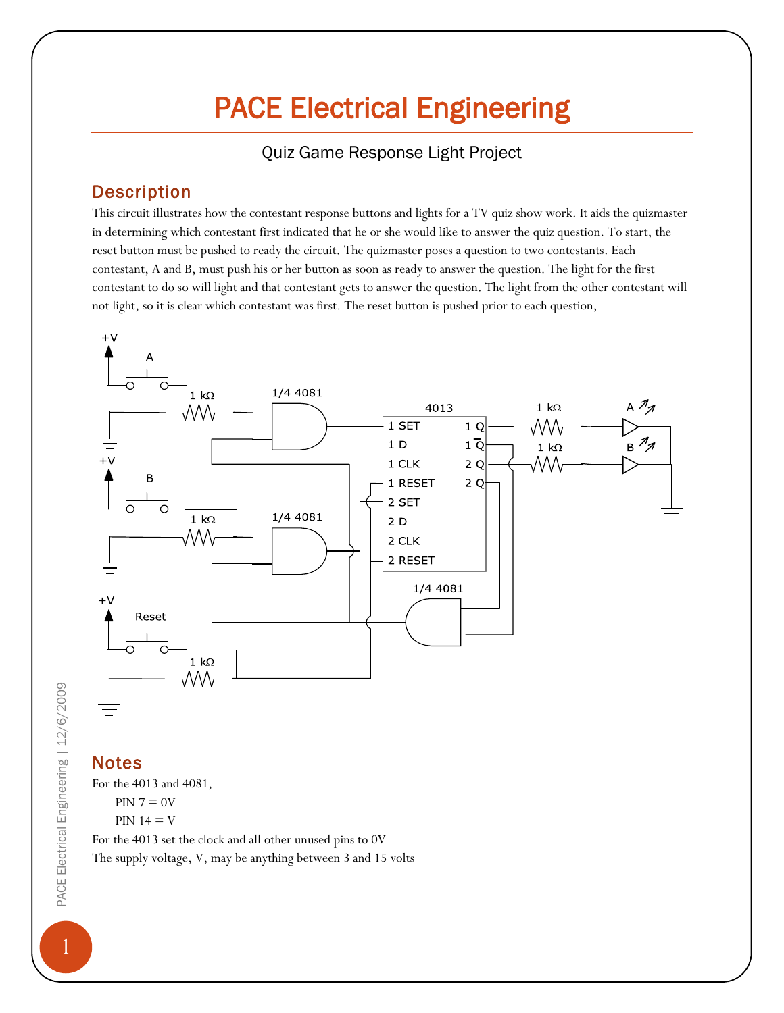# PACE Electrical Engineering

## Quiz Game Response Light Project

## Description

This circuit illustrates how the contestant response buttons and lights for a TV quiz show work. It aids the quizmaster in determining which contestant first indicated that he or she would like to answer the quiz question. To start, the reset button must be pushed to ready the circuit. The quizmaster poses a question to two contestants. Each contestant, A and B, must push his or her button as soon as ready to answer the question. The light for the first contestant to do so will light and that contestant gets to answer the question. The light from the other contestant will not light, so it is clear which contestant was first. The reset button is pushed prior to each question,



# PACE Electrical Engineering | 12/6/2009 PACE Electrical Engineering | 12/6/2009

## Notes

For the 4013 and 4081,

 $PIN 7 = 0V$ 

 $PIN 14 = V$ 

For the 4013 set the clock and all other unused pins to 0V The supply voltage, V, may be anything between 3 and 15 volts